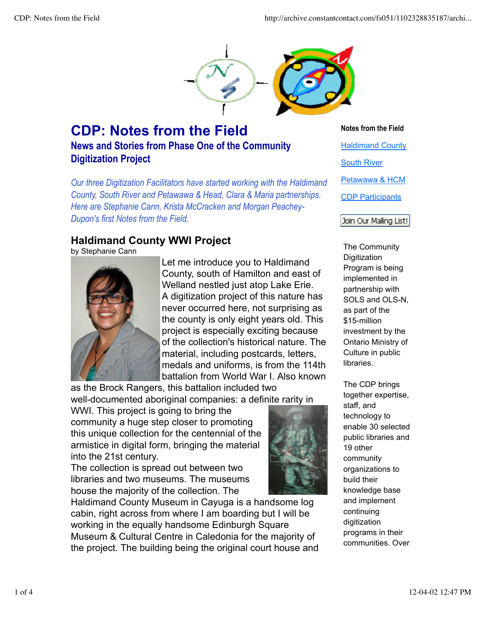

## **CDP: Notes from the Field News and Stories from Phase One of the Community Digitization Project**

*Our three Digitization Facilitators have started working with the Haldimand County, South River and Petawawa & Head, Clara & Maria partnerships. Here are Stephanie Cann, Krista McCracken and Morgan Peachey-Dupon's first Notes from the Field.*

## **Haldimand County WWI Project**

by Stephanie Cann



Let me introduce you to Haldimand County, south of Hamilton and east of Welland nestled just atop Lake Erie. A digitization project of this nature has never occurred here, not surprising as the county is only eight years old. This project is especially exciting because of the collection's historical nature. The material, including postcards, letters, medals and uniforms, is from the 114th battalion from World War I. Also known

as the Brock Rangers, this battalion included two well-documented aboriginal companies: a definite rarity in

WWI. This project is going to bring the community a huge step closer to promoting this unique collection for the centennial of the armistice in digital form, bringing the material into the 21st century.

The collection is spread out between two libraries and two museums. The museums house the majority of the collection. The

Haldimand County Museum in Cayuga is a handsome log cabin, right across from where I am boarding but I will be working in the equally handsome Edinburgh Square Museum & Cultural Centre in Caledonia for the majority of the project. The building being the original court house and



**Notes from the Field**

Haldimand County

South River

Petawawa & HCM

CDP Participants

Join Our Mailing List!

The Community Digitization Program is being implemented in partnership with SOLS and OLS-N, as part of the \$15-million investment by the Ontario Ministry of Culture in public libraries.

The CDP brings together expertise, staff, and technology to enable 30 selected public libraries and 19 other community organizations to build their knowledge base and implement continuing digitization programs in their communities. Over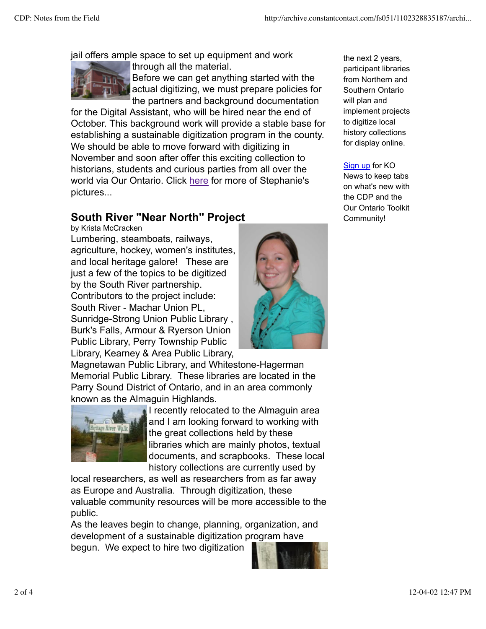jail offers ample space to set up equipment and work



through all the material.

Before we can get anything started with the actual digitizing, we must prepare policies for the partners and background documentation

for the Digital Assistant, who will be hired near the end of October. This background work will provide a stable base for establishing a sustainable digitization program in the county. We should be able to move forward with digitizing in November and soon after offer this exciting collection to historians, students and curious parties from all over the world via Our Ontario. Click here for more of Stephanie's pictures...

## **South River "Near North" Project**

by Krista McCracken

Lumbering, steamboats, railways, agriculture, hockey, women's institutes, and local heritage galore! These are just a few of the topics to be digitized by the South River partnership. Contributors to the project include: South River - Machar Union PL, Sunridge-Strong Union Public Library , Burk's Falls, Armour & Ryerson Union Public Library, Perry Township Public Library, Kearney & Area Public Library,

Magnetawan Public Library, and Whitestone-Hagerman Memorial Public Library. These libraries are located in the Parry Sound District of Ontario, and in an area commonly known as the Almaguin Highlands.



I recently relocated to the Almaguin area and I am looking forward to working with the great collections held by these libraries which are mainly photos, textual documents, and scrapbooks. These local history collections are currently used by

local researchers, as well as researchers from as far away as Europe and Australia. Through digitization, these valuable community resources will be more accessible to the public.

As the leaves begin to change, planning, organization, and development of a sustainable digitization program have begun. We expect to hire two digitization



the next 2 years, participant libraries from Northern and Southern Ontario will plan and implement projects to digitize local history collections for display online.

Sign up for KO

News to keep tabs on what's new with the CDP and the Our Ontario Toolkit Community!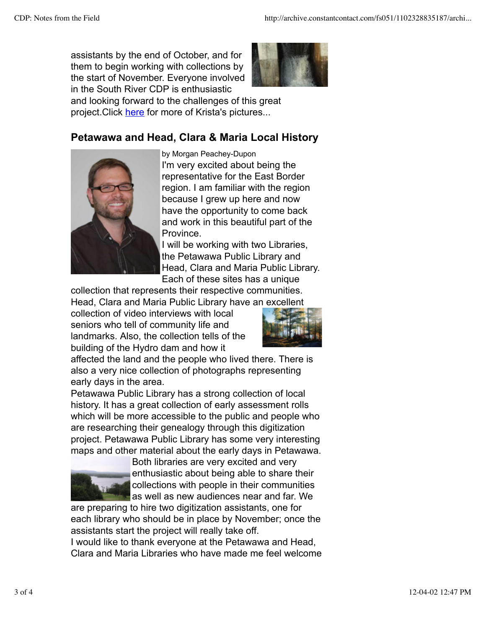assistants by the end of October, and for them to begin working with collections by the start of November. Everyone involved in the South River CDP is enthusiastic



and looking forward to the challenges of this great project.Click here for more of Krista's pictures...

## **Petawawa and Head, Clara & Maria Local History**



by Morgan Peachey-Dupon I'm very excited about being the representative for the East Border region. I am familiar with the region because I grew up here and now have the opportunity to come back and work in this beautiful part of the **Province** 

I will be working with two Libraries, the Petawawa Public Library and Head, Clara and Maria Public Library. Each of these sites has a unique

collection that represents their respective communities. Head, Clara and Maria Public Library have an excellent

collection of video interviews with local seniors who tell of community life and landmarks. Also, the collection tells of the building of the Hydro dam and how it



affected the land and the people who lived there. There is also a very nice collection of photographs representing early days in the area.

Petawawa Public Library has a strong collection of local history. It has a great collection of early assessment rolls which will be more accessible to the public and people who are researching their genealogy through this digitization project. Petawawa Public Library has some very interesting maps and other material about the early days in Petawawa.



Both libraries are very excited and very enthusiastic about being able to share their collections with people in their communities as well as new audiences near and far. We

are preparing to hire two digitization assistants, one for each library who should be in place by November; once the assistants start the project will really take off.

I would like to thank everyone at the Petawawa and Head, Clara and Maria Libraries who have made me feel welcome